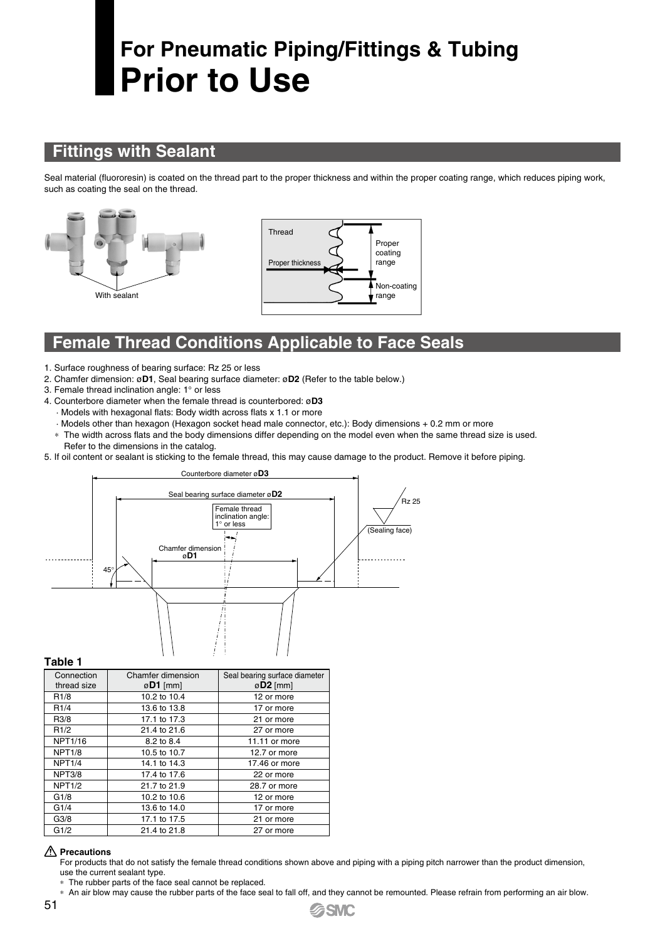# **For Pneumatic Piping/Fittings & Tubing Prior to Use**

### **Fittings with Sealant**

Seal material (fluororesin) is coated on the thread part to the proper thickness and within the proper coating range, which reduces piping work, such as coating the seal on the thread.





### **Female Thread Conditions Applicable to Face Seals**

- 1. Surface roughness of bearing surface: Rz 25 or less
- 2. Chamfer dimension: ø**D1**, Seal bearing surface diameter: ø**D2** (Refer to the table below.)
- 3. Female thread inclination angle: 1° or less
- 4. Counterbore diameter when the female thread is counterbored: ø**D3**
- · Models with hexagonal flats: Body width across flats x 1.1 or more
- · Models other than hexagon (Hexagon socket head male connector, etc.): Body dimensions + 0.2 mm or more
- \* The width across flats and the body dimensions differ depending on the model even when the same thread size is used. Refer to the dimensions in the catalog.
- 5. If oil content or sealant is sticking to the female thread, this may cause damage to the product. Remove it before piping.



**Table 1**

| Connection<br>thread size | Chamfer dimension<br>$\varnothing$ D1 [mm] | Seal bearing surface diameter<br>$\varnothing$ D2 [mm] |
|---------------------------|--------------------------------------------|--------------------------------------------------------|
| R <sub>1/8</sub>          | 10.2 to 10.4                               | 12 or more                                             |
| R1/4                      | 13.6 to 13.8                               | 17 or more                                             |
| R <sub>3</sub> /8         | 17.1 to 17.3                               | 21 or more                                             |
| R1/2                      | 21.4 to 21.6                               | 27 or more                                             |
| NPT1/16                   | 8.2 to 8.4                                 | 11.11 or more                                          |
| <b>NPT1/8</b>             | 10.5 to 10.7                               | 12.7 or more                                           |
| <b>NPT1/4</b>             | 14.1 to 14.3                               | 17.46 or more                                          |
| NPT3/8                    | 17.4 to 17.6                               | 22 or more                                             |
| <b>NPT1/2</b>             | 21.7 to 21.9                               | 28.7 or more                                           |
| G1/8                      | 10.2 to 10.6                               | 12 or more                                             |
| G1/4                      | 13.6 to 14.0                               | 17 or more                                             |
| G3/8                      | 17.1 to 17.5                               | 21 or more                                             |
| G1/2                      | 21.4 to 21.8                               | 27 or more                                             |

#### **Precautions**

For products that do not satisfy the female thread conditions shown above and piping with a piping pitch narrower than the product dimension, use the current sealant type.

\* The rubber parts of the face seal cannot be replaced.

\* An air blow may cause the rubber parts of the face seal to fall off, and they cannot be remounted. Please refrain from performing an air blow.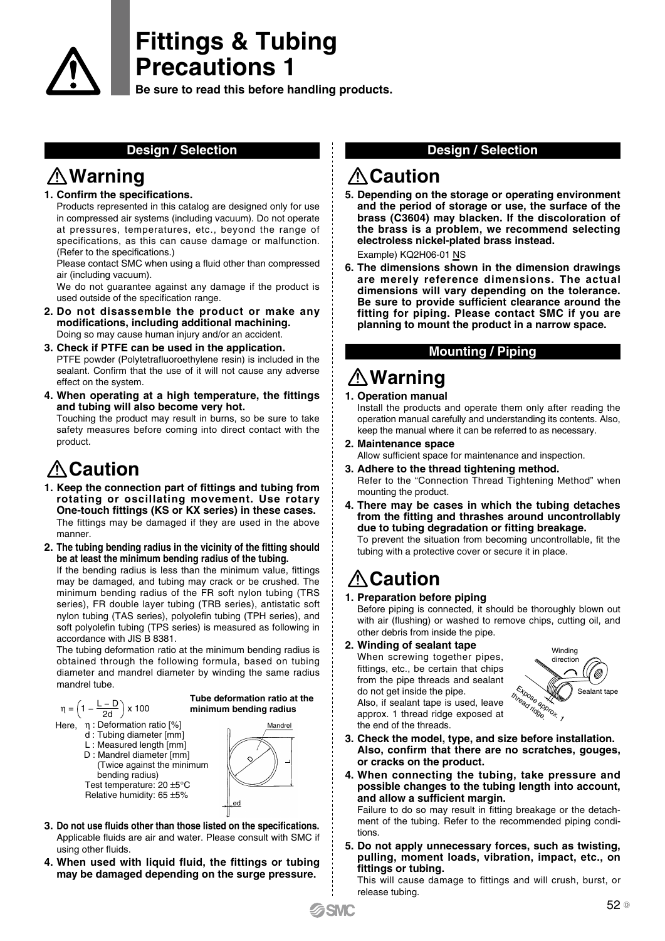

**Be sure to read this before handling products.**

### **Warning**

### **1. Confirm the specifications.**

Products represented in this catalog are designed only for use in compressed air systems (including vacuum). Do not operate at pressures, temperatures, etc., beyond the range of specifications, as this can cause damage or malfunction. (Refer to the specifications.)

Please contact SMC when using a fluid other than compressed air (including vacuum).

We do not guarantee against any damage if the product is used outside of the specification range.

- **2. Do not disassemble the product or make any modifications, including additional machining.** Doing so may cause human injury and/or an accident.
- **3. Check if PTFE can be used in the application.** PTFE powder (Polytetrafluoroethylene resin) is included in the sealant. Confirm that the use of it will not cause any adverse effect on the system.
- **4. When operating at a high temperature, the fittings and tubing will also become very hot.**

Touching the product may result in burns, so be sure to take safety measures before coming into direct contact with the product.

# **Caution**

- **1. Keep the connection part of fittings and tubing from rotating or oscillating movement. Use rotary One-touch fittings (KS or KX series) in these cases.** The fittings may be damaged if they are used in the above manner.
- **2. The tubing bending radius in the vicinity of the fitting should be at least the minimum bending radius of the tubing.**

If the bending radius is less than the minimum value, fittings may be damaged, and tubing may crack or be crushed. The minimum bending radius of the FR soft nylon tubing (TRS series), FR double layer tubing (TRB series), antistatic soft nylon tubing (TAS series), polyolefin tubing (TPH series), and soft polyolefin tubing (TPS series) is measured as following in accordance with JIS B 8381.

The tubing deformation ratio at the minimum bending radius is obtained through the following formula, based on tubing diameter and mandrel diameter by winding the same radius mandrel tube.



### Here, η : Deformation ratio [%] Mandrel

- d : Tubing diameter [mm]
	- L : Measured length [mm] D : Mandrel diameter [mm]
	- (Twice against the minimum bending radius) Test temperature: 20 ±5°C Relative humidity: 65 ±5%



**Tube deformation ratio at the** 

- **3. Do not use fluids other than those listed on the specifications.** Applicable fluids are air and water. Please consult with SMC if using other fluids.
- **4. When used with liquid fluid, the fittings or tubing may be damaged depending on the surge pressure.**

### **Design / Selection Design / Selection**

### **Caution**

**5. Depending on the storage or operating environment and the period of storage or use, the surface of the brass (C3604) may blacken. If the discoloration of the brass is a problem, we recommend selecting electroless nickel-plated brass instead.**

Example) KQ2H06-01 NS

**6. The dimensions shown in the dimension drawings are merely reference dimensions. The actual dimensions will vary depending on the tolerance. Be sure to provide sufficient clearance around the fitting for piping. Please contact SMC if you are planning to mount the product in a narrow space.**

### **Mounting / Piping**

# **Warning**

#### **1. Operation manual**

Install the products and operate them only after reading the operation manual carefully and understanding its contents. Also, keep the manual where it can be referred to as necessary.

- **2. Maintenance space** Allow sufficient space for maintenance and inspection.
- **3. Adhere to the thread tightening method.** Refer to the "Connection Thread Tightening Method" when mounting the product.
- **4. There may be cases in which the tubing detaches from the fitting and thrashes around uncontrollably due to tubing degradation or fitting breakage.**

To prevent the situation from becoming uncontrollable, fit the tubing with a protective cover or secure it in place.

# **A**Caution

### **1. Preparation before piping**

Before piping is connected, it should be thoroughly blown out with air (flushing) or washed to remove chips, cutting oil, and other debris from inside the pipe.

**2. Winding of sealant tape**

When screwing together pipes, fittings, etc., be certain that chips from the pipe threads and sealant do not get inside the pipe. Also, if sealant tape is used, leave approx. 1 thread ridge exposed at the end of the threads.



- **3. Check the model, type, and size before installation. Also, confirm that there are no scratches, gouges, or cracks on the product.**
- **4. When connecting the tubing, take pressure and possible changes to the tubing length into account, and allow a sufficient margin.**

Failure to do so may result in fitting breakage or the detachment of the tubing. Refer to the recommended piping conditions.

**5. Do not apply unnecessary forces, such as twisting, pulling, moment loads, vibration, impact, etc., on fittings or tubing.**

This will cause damage to fittings and will crush, burst, or release tubing.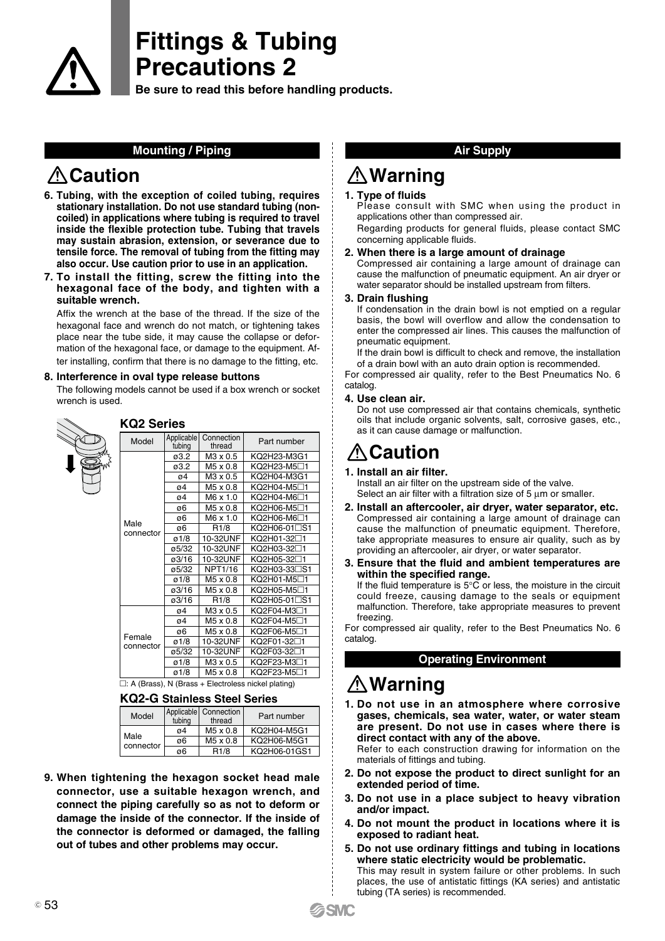

**Be sure to read this before handling products.**

### **Mounting / Piping**

# **ACaution**

 $\ddot{ }$ 

- **6. Tubing, with the exception of coiled tubing, requires stationary installation. Do not use standard tubing (noncoiled) in applications where tubing is required to travel inside the flexible protection tube. Tubing that travels may sustain abrasion, extension, or severance due to tensile force. The removal of tubing from the fitting may also occur. Use caution prior to use in an application.**
- **7. To install the fitting, screw the fitting into the hexagonal face of the body, and tighten with a suitable wrench.**

Affix the wrench at the base of the thread. If the size of the hexagonal face and wrench do not match, or tightening takes place near the tube side, it may cause the collapse or deformation of the hexagonal face, or damage to the equipment. After installing, confirm that there is no damage to the fitting, etc.

#### **8. Interference in oval type release buttons**

The following models cannot be used if a box wrench or socket wrench is used.

|                                                      | <b>KQ2 Series</b>   |                      |                      |                           |  |
|------------------------------------------------------|---------------------|----------------------|----------------------|---------------------------|--|
|                                                      | Model               | Applicable<br>tubing | Connection<br>thread | Part number               |  |
|                                                      |                     | ø3.2                 | M3 x 0.5             | KQ2H23-M3G1               |  |
|                                                      |                     | ø3.2                 | M5 x 0.8             | KQ2H23-M5□1               |  |
|                                                      |                     | ø4                   | M3 x 0.5             | KQ2H04-M3G1               |  |
|                                                      |                     | ø4                   | M5 x 0.8             | KQ2H04-M5□1               |  |
|                                                      |                     | ø4                   | M6 x 1.0             | KQ2H04-M6□1               |  |
|                                                      |                     | ø6                   | M5 x 0.8             | KQ2H06-M5□1               |  |
|                                                      |                     | ø6                   | M6 x 1.0             | KQ2H06-M6⊟1               |  |
|                                                      | Male<br>connector   | ø6                   | R <sub>1/8</sub>     | KQ2H06-01□S1              |  |
|                                                      |                     | $\varnothing$ 1/8    | 10-32UNF             | KQ2H01-32□1               |  |
|                                                      |                     | ø5/32                | 10-32UNF             | KQ2H03-32□1               |  |
|                                                      |                     | ø3/16                | 10-32UNF             | KQ2H05-32□1               |  |
|                                                      |                     | ø5/32                | NPT1/16              | KQ2H03-33 <sup>\</sup> S1 |  |
|                                                      |                     | $\varnothing$ 1/8    | M5 x 0.8             | KQ2H01-M5□1               |  |
|                                                      |                     | ø3/16                | M5 x 0.8             | KQ2H05-M5□1               |  |
|                                                      |                     | ø3/16                | R <sub>1/8</sub>     | KQ2H05-01□S1              |  |
|                                                      |                     | ø4                   | $M3 \times 0.5$      | KQ2F04-M3 <sup>∩</sup> 1  |  |
|                                                      |                     | ø4                   | M5 x 0.8             | KQ2F04-M5□1               |  |
|                                                      |                     | ø6                   | M5 x 0.8             | KQ2F06-M5□1               |  |
|                                                      | Female<br>connector | $\varnothing$ 1/8    | 10-32UNF             | KQ2F01-32□1               |  |
|                                                      |                     | ø5/32                | 10-32UNF             | KQ2F03-32⊡1               |  |
|                                                      |                     | $\varnothing$ 1/8    | M3 x 0.5             | KQ2F23-M3 <sup>-1</sup>   |  |
|                                                      |                     | $\varnothing$ 1/8    | M5 x 0.8             | KQ2F23-M5□1               |  |
| □: A (Brass). N (Brass + Electroless nickel plating) |                     |                      |                      |                           |  |

### **KQ2-G Stainless Steel Series**

|  | Model             | tubing | Applicable   Connection<br>thread | Part number  |  |  |
|--|-------------------|--------|-----------------------------------|--------------|--|--|
|  | Male<br>connector | ø4     | M5 x 0.8                          | KO2H04-M5G1  |  |  |
|  |                   | ø6     | M <sub>5</sub> x 0.8              | KQ2H06-M5G1  |  |  |
|  |                   | ø6     | R <sub>1/8</sub>                  | KQ2H06-01GS1 |  |  |

**9. When tightening the hexagon socket head male connector, use a suitable hexagon wrench, and connect the piping carefully so as not to deform or damage the inside of the connector. If the inside of the connector is deformed or damaged, the falling out of tubes and other problems may occur.**

### **Air Supply**

# **Warning**

#### **1. Type of fluids**

Please consult with SMC when using the product in applications other than compressed air.

Regarding products for general fluids, please contact SMC concerning applicable fluids.

#### **2. When there is a large amount of drainage**

Compressed air containing a large amount of drainage can cause the malfunction of pneumatic equipment. An air dryer or water separator should be installed upstream from filters.

#### **3. Drain flushing**

If condensation in the drain bowl is not emptied on a regular basis, the bowl will overflow and allow the condensation to enter the compressed air lines. This causes the malfunction of pneumatic equipment.

If the drain bowl is difficult to check and remove, the installation of a drain bowl with an auto drain option is recommended.

For compressed air quality, refer to the Best Pneumatics No. 6 catalog.

#### **4. Use clean air.**

Do not use compressed air that contains chemicals, synthetic oils that include organic solvents, salt, corrosive gases, etc., as it can cause damage or malfunction.

### **Caution**

#### **1. Install an air filter.**

Install an air filter on the upstream side of the valve. Select an air filter with a filtration size of 5  $\mu$ m or smaller.

- **2. Install an aftercooler, air dryer, water separator, etc.** Compressed air containing a large amount of drainage can cause the malfunction of pneumatic equipment. Therefore, take appropriate measures to ensure air quality, such as by providing an aftercooler, air dryer, or water separator.
- **3. Ensure that the fluid and ambient temperatures are within the specified range.**

If the fluid temperature is  $5^{\circ}$ C or less, the moisture in the circuit could freeze, causing damage to the seals or equipment malfunction. Therefore, take appropriate measures to prevent freezing.

For compressed air quality, refer to the Best Pneumatics No. 6 catalog.

### **Operating Environment**

# **Warning**

**1. Do not use in an atmosphere where corrosive gases, chemicals, sea water, water, or water steam are present. Do not use in cases where there is direct contact with any of the above.**

Refer to each construction drawing for information on the materials of fittings and tubing.

- **2. Do not expose the product to direct sunlight for an extended period of time.**
- **3. Do not use in a place subject to heavy vibration and/or impact.**
- **4. Do not mount the product in locations where it is exposed to radiant heat.**
- **5. Do not use ordinary fittings and tubing in locations where static electricity would be problematic.** This may result in system failure or other problems. In such places, the use of antistatic fittings (KA series) and antistatic tubing (TA series) is recommended.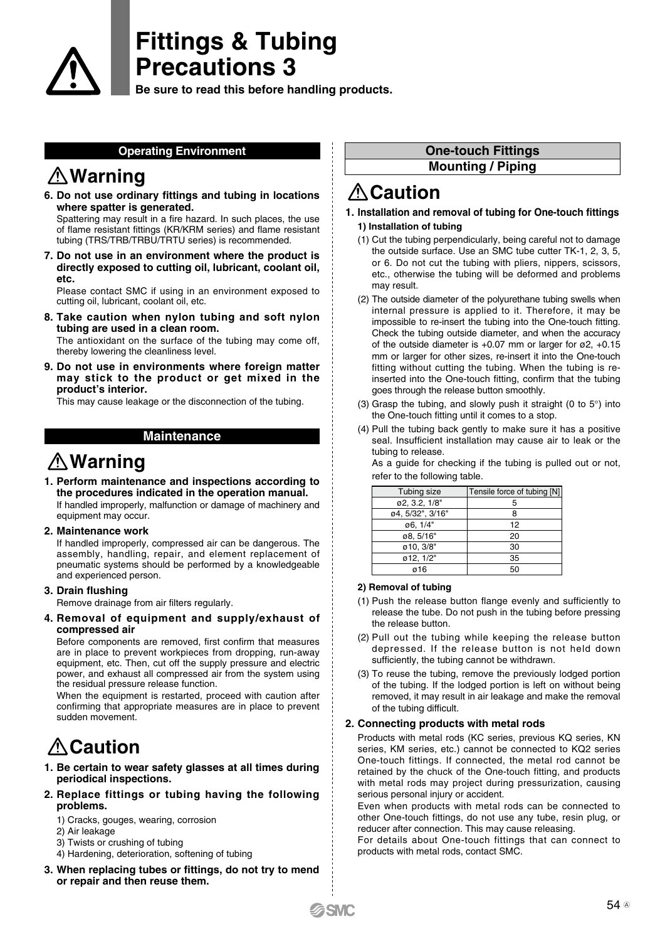

**Be sure to read this before handling products.**

#### **Operating Environment**

### **Warning**

**6. Do not use ordinary fittings and tubing in locations where spatter is generated.**

Spattering may result in a fire hazard. In such places, the use of flame resistant fittings (KR/KRM series) and flame resistant tubing (TRS/TRB/TRBU/TRTU series) is recommended.

**7. Do not use in an environment where the product is directly exposed to cutting oil, lubricant, coolant oil, etc.**

Please contact SMC if using in an environment exposed to cutting oil, lubricant, coolant oil, etc.

**8. Take caution when nylon tubing and soft nylon tubing are used in a clean room.**

The antioxidant on the surface of the tubing may come off, thereby lowering the cleanliness level.

**9. Do not use in environments where foreign matter may stick to the product or get mixed in the product's interior.**

This may cause leakage or the disconnection of the tubing.

### **Maintenance**

### **Warning**

- **1. Perform maintenance and inspections according to the procedures indicated in the operation manual.** If handled improperly, malfunction or damage of machinery and equipment may occur.
- **2. Maintenance work**

If handled improperly, compressed air can be dangerous. The assembly, handling, repair, and element replacement of pneumatic systems should be performed by a knowledgeable and experienced person.

#### **3. Drain flushing**

Remove drainage from air filters regularly.

**4. Removal of equipment and supply/exhaust of compressed air**

Before components are removed, first confirm that measures are in place to prevent workpieces from dropping, run-away equipment, etc. Then, cut off the supply pressure and electric power, and exhaust all compressed air from the system using the residual pressure release function.

When the equipment is restarted, proceed with caution after confirming that appropriate measures are in place to prevent sudden movement.

# **Caution**

- **1. Be certain to wear safety glasses at all times during periodical inspections.**
- **2. Replace fittings or tubing having the following problems.**
	- 1) Cracks, gouges, wearing, corrosion
	- 2) Air leakage
	- 3) Twists or crushing of tubing
	- 4) Hardening, deterioration, softening of tubing
- **3. When replacing tubes or fittings, do not try to mend or repair and then reuse them.**

### **One-touch Fittings**

**Mounting / Piping**

# **Caution**

- **1. Installation and removal of tubing for One-touch fittings 1) Installation of tubing**
	- (1) Cut the tubing perpendicularly, being careful not to damage the outside surface. Use an SMC tube cutter TK-1, 2, 3, 5, or 6. Do not cut the tubing with pliers, nippers, scissors, etc., otherwise the tubing will be deformed and problems may result.
	- (2) The outside diameter of the polyurethane tubing swells when internal pressure is applied to it. Therefore, it may be impossible to re-insert the tubing into the One-touch fitting. Check the tubing outside diameter, and when the accuracy of the outside diameter is +0.07 mm or larger for ø2, +0.15 mm or larger for other sizes, re-insert it into the One-touch fitting without cutting the tubing. When the tubing is reinserted into the One-touch fitting, confirm that the tubing goes through the release button smoothly.
	- (3) Grasp the tubing, and slowly push it straight (0 to 5°) into the One-touch fitting until it comes to a stop.
	- (4) Pull the tubing back gently to make sure it has a positive seal. Insufficient installation may cause air to leak or the tubing to release.

As a guide for checking if the tubing is pulled out or not, refer to the following table.

| Tubing size      | Tensile force of tubing [N] |
|------------------|-----------------------------|
| ø2, 3.2, 1/8"    |                             |
| ø4, 5/32", 3/16" | я                           |
| ø6, 1/4"         | 12                          |
| ø8, 5/16"        | 20                          |
| ø10, 3/8"        | 30                          |
| ø12, 1/2"        | 35                          |
| ø16              |                             |

#### **2) Removal of tubing**

- (1) Push the release button flange evenly and sufficiently to release the tube. Do not push in the tubing before pressing the release button.
- (2) Pull out the tubing while keeping the release button depressed. If the release button is not held down sufficiently, the tubing cannot be withdrawn.
- (3) To reuse the tubing, remove the previously lodged portion of the tubing. If the lodged portion is left on without being removed, it may result in air leakage and make the removal of the tubing difficult.

#### **2. Connecting products with metal rods**

Products with metal rods (KC series, previous KQ series, KN series, KM series, etc.) cannot be connected to KQ2 series One-touch fittings. If connected, the metal rod cannot be retained by the chuck of the One-touch fitting, and products with metal rods may project during pressurization, causing serious personal injury or accident.

Even when products with metal rods can be connected to other One-touch fittings, do not use any tube, resin plug, or reducer after connection. This may cause releasing.

For details about One-touch fittings that can connect to products with metal rods, contact SMC.

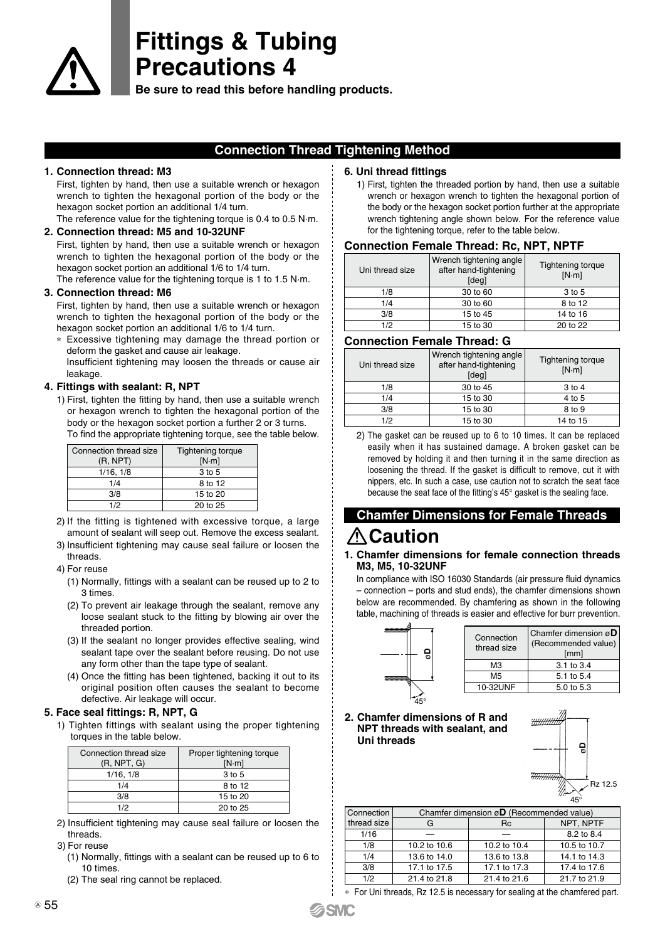

**Be sure to read this before handling products.**

### **Connection Thread Tightening Method**

#### **1. Connection thread: M3**

First, tighten by hand, then use a suitable wrench or hexagon wrench to tighten the hexagonal portion of the body or the hexagon socket portion an additional 1/4 turn.

The reference value for the tightening torque is 0.4 to 0.5 N·m. **2. Connection thread: M5 and 10-32UNF**

First, tighten by hand, then use a suitable wrench or hexagon wrench to tighten the hexagonal portion of the body or the hexagon socket portion an additional 1/6 to 1/4 turn.

The reference value for the tightening torque is 1 to 1.5 N·m.

#### **3. Connection thread: M6**

First, tighten by hand, then use a suitable wrench or hexagon wrench to tighten the hexagonal portion of the body or the hexagon socket portion an additional 1/6 to 1/4 turn.

\* Excessive tightening may damage the thread portion or deform the gasket and cause air leakage.

Insufficient tightening may loosen the threads or cause air leakage.

### **4. Fittings with sealant: R, NPT**

1) First, tighten the fitting by hand, then use a suitable wrench or hexagon wrench to tighten the hexagonal portion of the body or the hexagon socket portion a further 2 or 3 turns. To find the appropriate tightening torque, see the table below.

| Connection thread size<br>(R, NPT) | <b>Tightening torque</b><br>[N·m] |
|------------------------------------|-----------------------------------|
| 1/16, 1/8                          | 3 to 5                            |
| 1/4                                | 8 to 12                           |
| 3/8                                | 15 to 20                          |
| 1/2                                | 20 to 25                          |

- 2) If the fitting is tightened with excessive torque, a large amount of sealant will seep out. Remove the excess sealant.
- 3) Insufficient tightening may cause seal failure or loosen the threads.

4) For reuse

- (1) Normally, fittings with a sealant can be reused up to 2 to 3 times.
- (2) To prevent air leakage through the sealant, remove any loose sealant stuck to the fitting by blowing air over the threaded portion.
- (3) If the sealant no longer provides effective sealing, wind sealant tape over the sealant before reusing. Do not use any form other than the tape type of sealant.
- (4) Once the fitting has been tightened, backing it out to its original position often causes the sealant to become defective. Air leakage will occur.

#### **5. Face seal fittings: R, NPT, G**

1) Tighten fittings with sealant using the proper tightening torques in the table below.

| Connection thread size<br>(R, NPT, G) | Proper tightening torque<br>[N·m] |
|---------------------------------------|-----------------------------------|
| 1/16, 1/8                             | 3 to 5                            |
| 1/4                                   | 8 to 12                           |
| 3/8                                   | 15 to 20                          |
| 1/2                                   | 20 to 25                          |

2) Insufficient tightening may cause seal failure or loosen the threads.

#### 3) For reuse

- (1) Normally, fittings with a sealant can be reused up to 6 to 10 times.
- (2) The seal ring cannot be replaced.

#### **6. Uni thread fittings**

1) First, tighten the threaded portion by hand, then use a suitable wrench or hexagon wrench to tighten the hexagonal portion of the body or the hexagon socket portion further at the appropriate wrench tightening angle shown below. For the reference value for the tightening torque, refer to the table below.

#### **Connection Female Thread: Rc, NPT, NPTF**

| Uni thread size | Wrench tightening angle<br>after hand-tightening<br>[deg] | Tightening torque<br>[N·m] |
|-----------------|-----------------------------------------------------------|----------------------------|
| 1/8             | 30 to 60                                                  | 3 to 5                     |
| 1/4             | 30 to 60                                                  | 8 to 12                    |
| 3/8             | 15 to 45                                                  | 14 to 16                   |
| 1/2             | 15 to 30                                                  | 20 to 22                   |

### **Connection Female Thread: G**

| Uni thread size | Wrench tightening angle<br>after hand-tightening<br>[deg] | Tightening torque<br>[N·m] |
|-----------------|-----------------------------------------------------------|----------------------------|
| 1/8             | 30 to 45                                                  | 3 to 4                     |
| 1/4             | 15 to 30                                                  | 4 to 5                     |
| 3/8             | 15 to 30                                                  | 8 to 9                     |
| 1/2             | 15 to 30                                                  | 14 to 15                   |

2) The gasket can be reused up to 6 to 10 times. It can be replaced easily when it has sustained damage. A broken gasket can be removed by holding it and then turning it in the same direction as loosening the thread. If the gasket is difficult to remove, cut it with nippers, etc. In such a case, use caution not to scratch the seat face because the seat face of the fitting's 45° gasket is the sealing face.

### **Chamfer Dimensions for Female Threads**

### **Caution**

#### **1. Chamfer dimensions for female connection threads M3, M5, 10-32UNF**

In compliance with ISO 16030 Standards (air pressure fluid dynamics – connection – ports and stud ends), the chamfer dimensions shown below are recommended. By chamfering as shown in the following table, machining of threads is easier and effective for burr prevention.



| Connection<br>thread size | Chamfer dimension $\varnothing$ D<br>(Recommended value)<br>[mm] |
|---------------------------|------------------------------------------------------------------|
| MЗ                        | $3.1 \text{ to } 3.4$                                            |
| M5                        | 5.1 to 5.4                                                       |
| 10-32UNF                  | 5.0 to 5.3                                                       |
|                           |                                                                  |

#### **2. Chamfer dimensions of R and NPT threads with sealant, and Uni threads**



| Connection  | Chamfer dimension $\emptyset$ (Recommended value) |              |              |  |
|-------------|---------------------------------------------------|--------------|--------------|--|
| thread size | G                                                 | <b>Rc</b>    |              |  |
| 1/16        |                                                   |              | 8.2 to 8.4   |  |
| 1/8         | 10.2 to 10.6                                      | 10.2 to 10.4 | 10.5 to 10.7 |  |
| 1/4         | 13.6 to 14.0                                      | 13.6 to 13.8 | 14.1 to 14.3 |  |
| 3/8         | 17.1 to 17.5                                      | 17.1 to 17.3 | 17.4 to 17.6 |  |
| 1/2         | 21.4 to 21.8                                      | 21.4 to 21.6 | 21.7 to 21.9 |  |

<sup>\*</sup> For Uni threads, Rz 12.5 is necessary for sealing at the chamfered part.